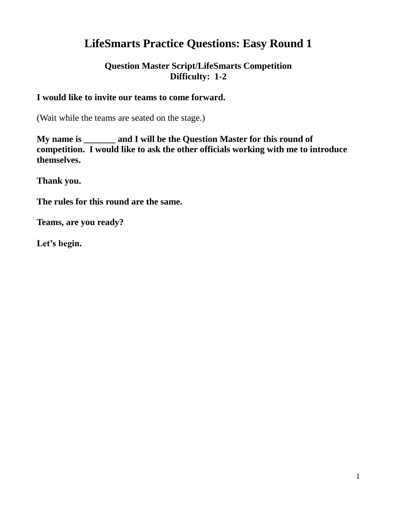# **LifeSmarts Practice Questions: Easy Round 1**

## **Question Master Script/LifeSmarts Competition Difficulty: 1-2**

#### **I would like to invite our teams to come forward.**

(Wait while the teams are seated on the stage.)

**My name is \_\_\_\_\_\_\_ and I will be the Question Master for this round of competition. I would like to ask the other officials working with me to introduce themselves.**

**Thank you.**

**The rules for this round are the same.** 

**Teams, are you ready?**

**Let's begin.**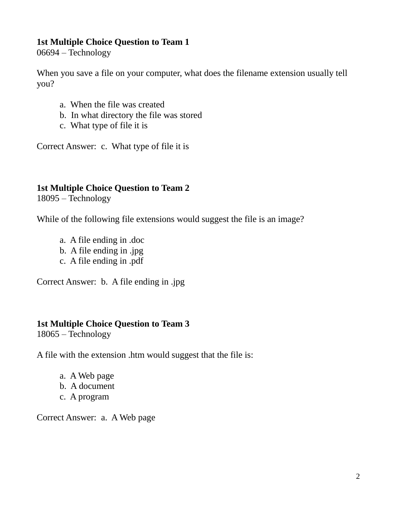## **1st Multiple Choice Question to Team 1**

06694 – Technology

When you save a file on your computer, what does the filename extension usually tell you?

- a. When the file was created
- b. In what directory the file was stored
- c. What type of file it is

Correct Answer: c. What type of file it is

## **1st Multiple Choice Question to Team 2**

18095 – Technology

While of the following file extensions would suggest the file is an image?

- a. A file ending in .doc
- b. A file ending in .jpg
- c. A file ending in .pdf

Correct Answer: b. A file ending in .jpg

## **1st Multiple Choice Question to Team 3**

18065 – Technology

A file with the extension .htm would suggest that the file is:

- a. A Web page
- b. A document
- c. A program

Correct Answer: a. A Web page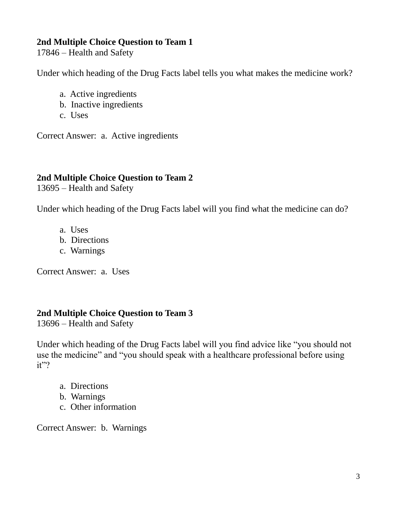#### **2nd Multiple Choice Question to Team 1**

17846 – Health and Safety

Under which heading of the Drug Facts label tells you what makes the medicine work?

- a. Active ingredients
- b. Inactive ingredients
- c. Uses

Correct Answer: a. Active ingredients

## **2nd Multiple Choice Question to Team 2**

13695 – Health and Safety

Under which heading of the Drug Facts label will you find what the medicine can do?

- a. Uses
- b. Directions
- c. Warnings

Correct Answer: a. Uses

## **2nd Multiple Choice Question to Team 3**

13696 – Health and Safety

Under which heading of the Drug Facts label will you find advice like "you should not use the medicine" and "you should speak with a healthcare professional before using it"?

- a. Directions
- b. Warnings
- c. Other information

Correct Answer: b. Warnings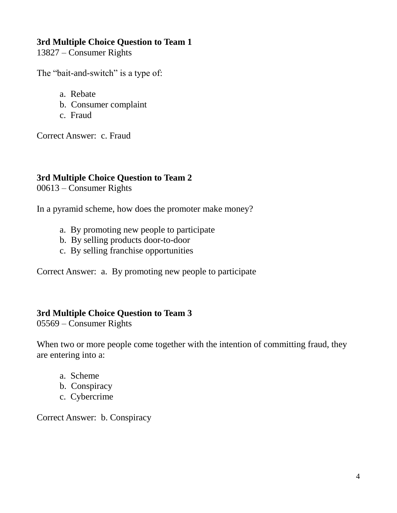### **3rd Multiple Choice Question to Team 1**

13827 – Consumer Rights

The "bait-and-switch" is a type of:

- a. Rebate
- b. Consumer complaint
- c. Fraud

Correct Answer: c. Fraud

## **3rd Multiple Choice Question to Team 2**

00613 – Consumer Rights

In a pyramid scheme, how does the promoter make money?

- a. By promoting new people to participate
- b. By selling products door-to-door
- c. By selling franchise opportunities

Correct Answer: a. By promoting new people to participate

## **3rd Multiple Choice Question to Team 3**

05569 – Consumer Rights

When two or more people come together with the intention of committing fraud, they are entering into a:

- a. Scheme
- b. Conspiracy
- c. Cybercrime

Correct Answer: b. Conspiracy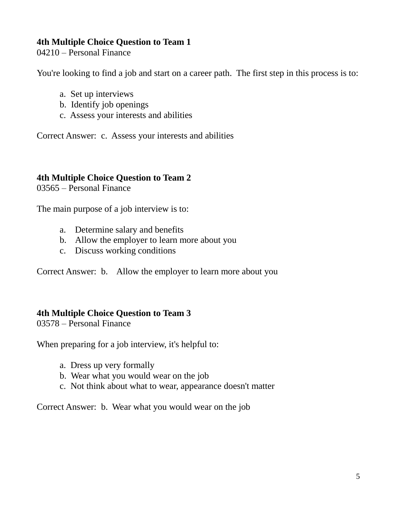## **4th Multiple Choice Question to Team 1**

04210 – Personal Finance

You're looking to find a job and start on a career path. The first step in this process is to:

- a. Set up interviews
- b. Identify job openings
- c. Assess your interests and abilities

Correct Answer: c. Assess your interests and abilities

#### **4th Multiple Choice Question to Team 2**

03565 – Personal Finance

The main purpose of a job interview is to:

- a. Determine salary and benefits
- b. Allow the employer to learn more about you
- c. Discuss working conditions

Correct Answer: b. Allow the employer to learn more about you

#### **4th Multiple Choice Question to Team 3**

03578 – Personal Finance

When preparing for a job interview, it's helpful to:

- a. Dress up very formally
- b. Wear what you would wear on the job
- c. Not think about what to wear, appearance doesn't matter

Correct Answer: b. Wear what you would wear on the job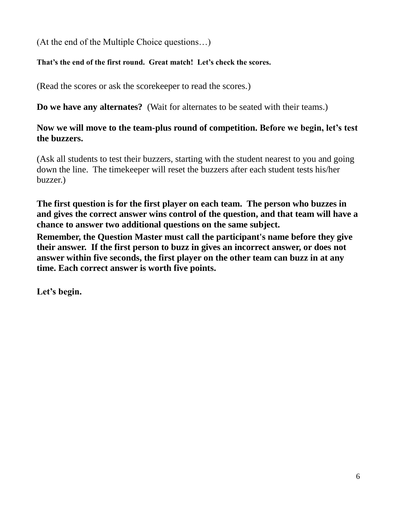(At the end of the Multiple Choice questions…)

## **That's the end of the first round. Great match! Let's check the scores.**

(Read the scores or ask the scorekeeper to read the scores.)

**Do we have any alternates?** (Wait for alternates to be seated with their teams.)

## **Now we will move to the team-plus round of competition. Before we begin, let's test the buzzers.**

(Ask all students to test their buzzers, starting with the student nearest to you and going down the line. The timekeeper will reset the buzzers after each student tests his/her buzzer.)

**The first question is for the first player on each team. The person who buzzes in and gives the correct answer wins control of the question, and that team will have a chance to answer two additional questions on the same subject.** 

**Remember, the Question Master must call the participant's name before they give their answer. If the first person to buzz in gives an incorrect answer, or does not answer within five seconds, the first player on the other team can buzz in at any time. Each correct answer is worth five points.** 

**Let's begin.**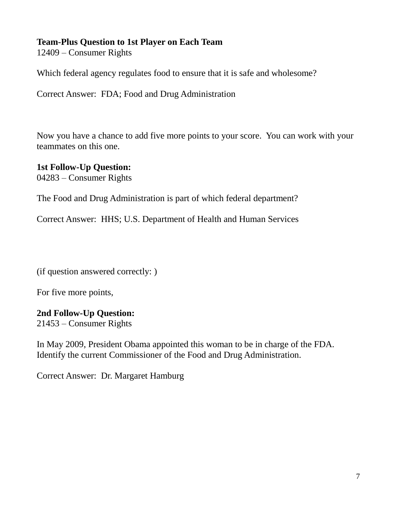## **Team-Plus Question to 1st Player on Each Team**

12409 – Consumer Rights

Which federal agency regulates food to ensure that it is safe and wholesome?

Correct Answer: FDA; Food and Drug Administration

Now you have a chance to add five more points to your score. You can work with your teammates on this one.

# **1st Follow-Up Question:**

04283 – Consumer Rights

The Food and Drug Administration is part of which federal department?

Correct Answer: HHS; U.S. Department of Health and Human Services

(if question answered correctly: )

For five more points,

## **2nd Follow-Up Question:**

21453 – Consumer Rights

In May 2009, President Obama appointed this woman to be in charge of the FDA. Identify the current Commissioner of the Food and Drug Administration.

Correct Answer: Dr. Margaret Hamburg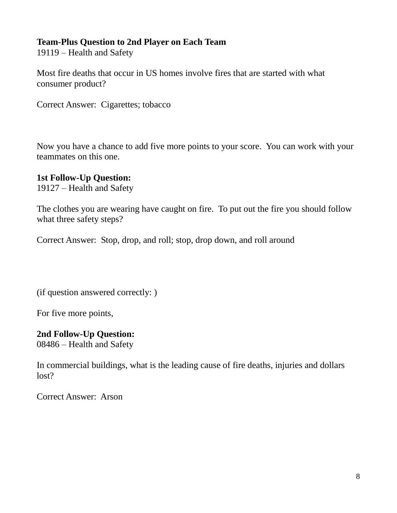## **Team-Plus Question to 2nd Player on Each Team**

19119 – Health and Safety

Most fire deaths that occur in US homes involve fires that are started with what consumer product?

Correct Answer: Cigarettes; tobacco

Now you have a chance to add five more points to your score. You can work with your teammates on this one.

#### **1st Follow-Up Question:**

19127 – Health and Safety

The clothes you are wearing have caught on fire. To put out the fire you should follow what three safety steps?

Correct Answer: Stop, drop, and roll; stop, drop down, and roll around

(if question answered correctly: )

For five more points,

#### **2nd Follow-Up Question:**

08486 – Health and Safety

In commercial buildings, what is the leading cause of fire deaths, injuries and dollars lost?

Correct Answer: Arson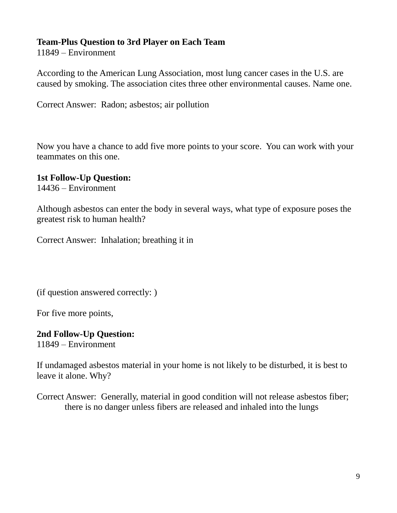## **Team-Plus Question to 3rd Player on Each Team**

11849 – Environment

According to the American Lung Association, most lung cancer cases in the U.S. are caused by smoking. The association cites three other environmental causes. Name one.

Correct Answer: Radon; asbestos; air pollution

Now you have a chance to add five more points to your score. You can work with your teammates on this one.

## **1st Follow-Up Question:**

14436 – Environment

Although asbestos can enter the body in several ways, what type of exposure poses the greatest risk to human health?

Correct Answer: Inhalation; breathing it in

(if question answered correctly: )

For five more points,

## **2nd Follow-Up Question:**

11849 – Environment

If undamaged asbestos material in your home is not likely to be disturbed, it is best to leave it alone. Why?

Correct Answer: Generally, material in good condition will not release asbestos fiber; there is no danger unless fibers are released and inhaled into the lungs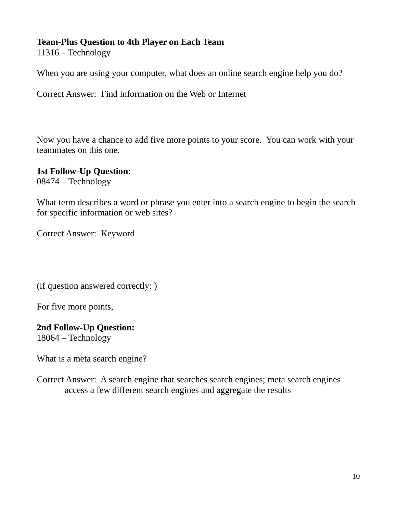## **Team-Plus Question to 4th Player on Each Team**

11316 – Technology

When you are using your computer, what does an online search engine help you do?

Correct Answer: Find information on the Web or Internet

Now you have a chance to add five more points to your score. You can work with your teammates on this one.

## **1st Follow-Up Question:**

08474 – Technology

What term describes a word or phrase you enter into a search engine to begin the search for specific information or web sites?

Correct Answer: Keyword

(if question answered correctly: )

For five more points,

#### **2nd Follow-Up Question:**

18064 – Technology

What is a meta search engine?

Correct Answer: A search engine that searches search engines; meta search engines access a few different search engines and aggregate the results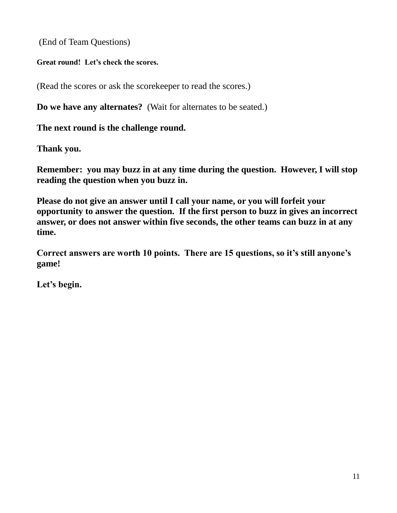(End of Team Questions)

**Great round! Let's check the scores.**

(Read the scores or ask the scorekeeper to read the scores.)

**Do we have any alternates?** (Wait for alternates to be seated.)

**The next round is the challenge round.** 

**Thank you.**

**Remember: you may buzz in at any time during the question. However, I will stop reading the question when you buzz in.**

**Please do not give an answer until I call your name, or you will forfeit your opportunity to answer the question. If the first person to buzz in gives an incorrect answer, or does not answer within five seconds, the other teams can buzz in at any time.** 

**Correct answers are worth 10 points. There are 15 questions, so it's still anyone's game!**

**Let's begin.**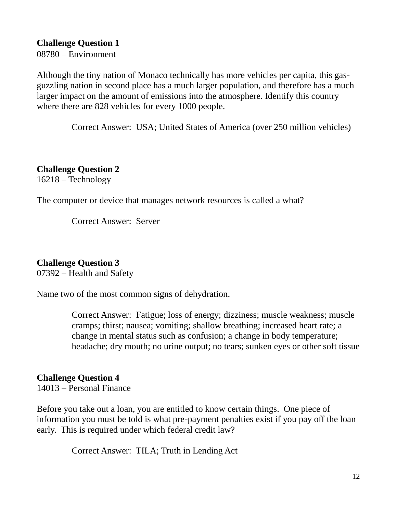**Challenge Question 1** 08780 – Environment

Although the tiny nation of Monaco technically has more vehicles per capita, this gasguzzling nation in second place has a much larger population, and therefore has a much larger impact on the amount of emissions into the atmosphere. Identify this country where there are 828 vehicles for every 1000 people.

Correct Answer: USA; United States of America (over 250 million vehicles)

**Challenge Question 2** 16218 – Technology

The computer or device that manages network resources is called a what?

Correct Answer: Server

#### **Challenge Question 3**

07392 – Health and Safety

Name two of the most common signs of dehydration.

Correct Answer: Fatigue; loss of energy; dizziness; muscle weakness; muscle cramps; thirst; nausea; vomiting; shallow breathing; increased heart rate; a change in mental status such as confusion; a change in body temperature; headache; dry mouth; no urine output; no tears; sunken eyes or other soft tissue

#### **Challenge Question 4**

14013 – Personal Finance

Before you take out a loan, you are entitled to know certain things. One piece of information you must be told is what pre-payment penalties exist if you pay off the loan early. This is required under which federal credit law?

Correct Answer: TILA; Truth in Lending Act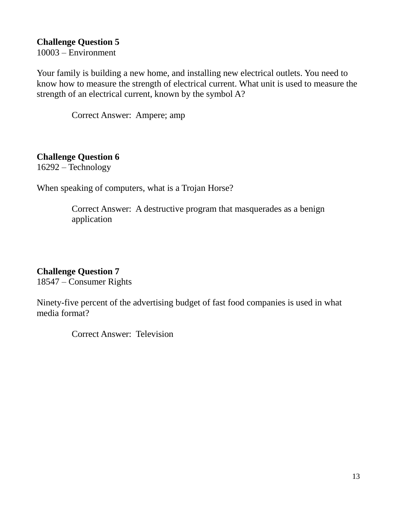### **Challenge Question 5**

10003 – Environment

Your family is building a new home, and installing new electrical outlets. You need to know how to measure the strength of electrical current. What unit is used to measure the strength of an electrical current, known by the symbol A?

Correct Answer: Ampere; amp

## **Challenge Question 6**

16292 – Technology

When speaking of computers, what is a Trojan Horse?

Correct Answer: A destructive program that masquerades as a benign application

#### **Challenge Question 7**

18547 – Consumer Rights

Ninety-five percent of the advertising budget of fast food companies is used in what media format?

Correct Answer: Television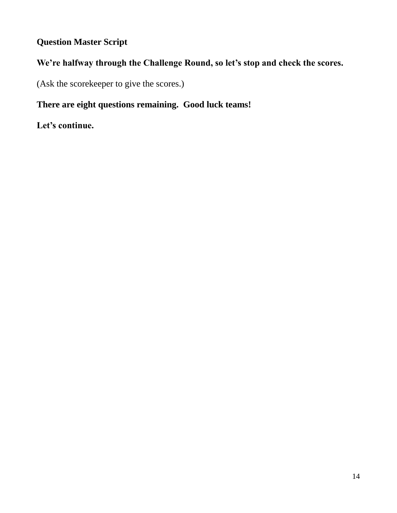## **Question Master Script**

## **We're halfway through the Challenge Round, so let's stop and check the scores.**

(Ask the scorekeeper to give the scores.)

## **There are eight questions remaining. Good luck teams!**

**Let's continue.**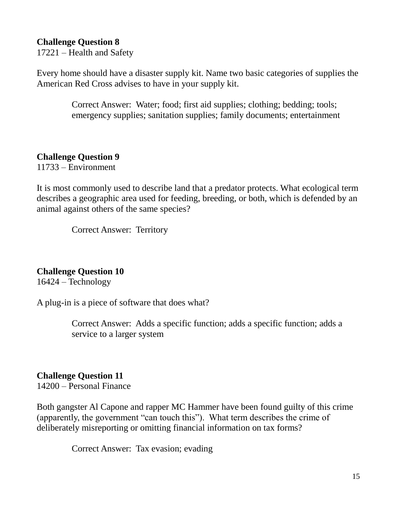#### **Challenge Question 8**

17221 – Health and Safety

Every home should have a disaster supply kit. Name two basic categories of supplies the American Red Cross advises to have in your supply kit.

> Correct Answer: Water; food; first aid supplies; clothing; bedding; tools; emergency supplies; sanitation supplies; family documents; entertainment

#### **Challenge Question 9**

11733 – Environment

It is most commonly used to describe land that a predator protects. What ecological term describes a geographic area used for feeding, breeding, or both, which is defended by an animal against others of the same species?

Correct Answer: Territory

#### **Challenge Question 10**

16424 – Technology

A plug-in is a piece of software that does what?

Correct Answer: Adds a specific function; adds a specific function; adds a service to a larger system

#### **Challenge Question 11**

14200 – Personal Finance

Both gangster Al Capone and rapper MC Hammer have been found guilty of this crime (apparently, the government "can touch this"). What term describes the crime of deliberately misreporting or omitting financial information on tax forms?

Correct Answer: Tax evasion; evading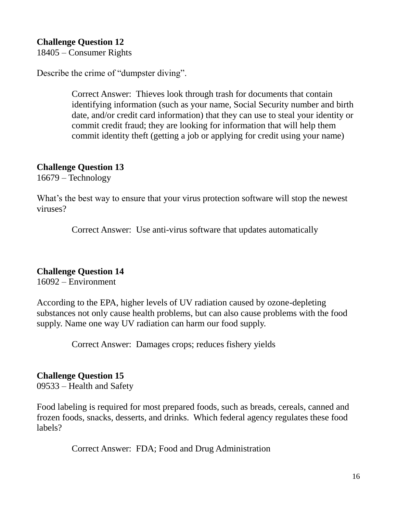#### **Challenge Question 12**

18405 – Consumer Rights

Describe the crime of "dumpster diving".

Correct Answer: Thieves look through trash for documents that contain identifying information (such as your name, Social Security number and birth date, and/or credit card information) that they can use to steal your identity or commit credit fraud; they are looking for information that will help them commit identity theft (getting a job or applying for credit using your name)

#### **Challenge Question 13**

16679 – Technology

What's the best way to ensure that your virus protection software will stop the newest viruses?

Correct Answer: Use anti-virus software that updates automatically

#### **Challenge Question 14**

16092 – Environment

According to the EPA, higher levels of UV radiation caused by ozone-depleting substances not only cause health problems, but can also cause problems with the food supply. Name one way UV radiation can harm our food supply.

Correct Answer: Damages crops; reduces fishery yields

#### **Challenge Question 15**

09533 – Health and Safety

Food labeling is required for most prepared foods, such as breads, cereals, canned and frozen foods, snacks, desserts, and drinks. Which federal agency regulates these food labels?

Correct Answer: FDA; Food and Drug Administration